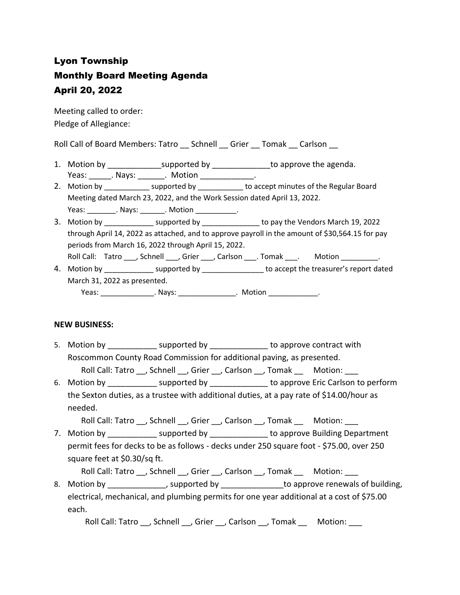## Lyon Township Monthly Board Meeting Agenda April 20, 2022

Meeting called to order: Pledge of Allegiance:

Roll Call of Board Members: Tatro \_\_ Schnell \_\_ Grier \_\_ Tomak \_\_ Carlson \_\_

- 1. Motion by \_\_\_\_\_\_\_\_\_\_\_\_\_\_\_\_supported by \_\_\_\_\_\_\_\_\_\_\_\_\_\_\_\_to approve the agenda. Yeas: Nays: Nays: Notion Neas: News, 2016
- 2. Motion by \_\_\_\_\_\_\_\_\_\_\_\_ supported by \_\_\_\_\_\_\_\_\_\_\_ to accept minutes of the Regular Board Meeting dated March 23, 2022, and the Work Session dated April 13, 2022. Yeas: \_\_\_\_\_\_\_\_\_. Nays: \_\_\_\_\_\_\_. Motion \_\_\_\_\_\_\_\_\_\_\_.
- 3. Motion by \_\_\_\_\_\_\_\_\_\_\_\_ supported by \_\_\_\_\_\_\_\_\_\_\_\_\_\_ to pay the Vendors March 19, 2022 through April 14, 2022 as attached, and to approve payroll in the amount of \$30,564.15 for pay periods from March 16, 2022 through April 15, 2022. Roll Call: Tatro \_\_\_, Schnell \_\_\_, Grier \_\_\_, Carlson \_\_\_. Tomak \_\_\_. Motion \_\_\_\_\_\_\_\_\_.
- 4. Motion by \_\_\_\_\_\_\_\_\_\_\_\_\_\_\_ supported by \_\_\_\_\_\_\_\_\_\_\_\_\_\_\_\_ to accept the treasurer's report dated March 31, 2022 as presented. Yeas: \_\_\_\_\_\_\_\_\_\_\_\_\_\_\_\_\_. Nays: \_\_\_\_\_\_\_\_\_\_\_\_\_\_\_\_\_. Motion \_\_\_\_\_\_\_\_\_\_\_\_\_\_\_.

## **NEW BUSINESS:**

5. Motion by \_\_\_\_\_\_\_\_\_\_\_\_\_ supported by \_\_\_\_\_\_\_\_\_\_\_\_\_\_\_ to approve contract with Roscommon County Road Commission for additional paving, as presented.

Roll Call: Tatro \_\_, Schnell \_\_, Grier \_\_, Carlson \_\_, Tomak \_\_ Motion: \_\_\_

6. Motion by \_\_\_\_\_\_\_\_\_\_\_\_\_\_ supported by \_\_\_\_\_\_\_\_\_\_\_\_\_\_\_ to approve Eric Carlson to perform the Sexton duties, as a trustee with additional duties, at a pay rate of \$14.00/hour as needed.

Roll Call: Tatro \_\_, Schnell \_\_, Grier \_\_, Carlson \_\_, Tomak \_\_ Motion: \_\_\_

7. Motion by **Example 2** supported by **Example 2** to approve Building Department permit fees for decks to be as follows - decks under 250 square foot - \$75.00, over 250 square feet at \$0.30/sq ft.

Roll Call: Tatro \_\_, Schnell \_\_, Grier \_\_, Carlson \_\_, Tomak \_\_ Motion: \_\_\_

8. Motion by \_\_\_\_\_\_\_\_\_\_\_\_\_\_\_, supported by \_\_\_\_\_\_\_\_\_\_\_\_\_\_\_\_\_\_\_\_\_to approve renewals of building, electrical, mechanical, and plumbing permits for one year additional at a cost of \$75.00 each.

Roll Call: Tatro , Schnell , Grier , Carlson , Tomak Motion: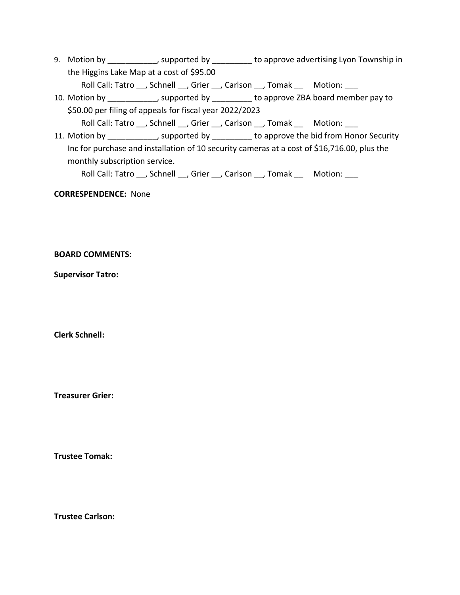9. Motion by \_\_\_\_\_\_\_\_\_\_\_, supported by \_\_\_\_\_\_\_\_\_ to approve advertising Lyon Township in the Higgins Lake Map at a cost of \$95.00

Roll Call: Tatro \_\_, Schnell \_\_, Grier \_\_, Carlson \_\_, Tomak \_\_ Motion: \_\_\_

10. Motion by \_\_\_\_\_\_\_\_\_\_\_, supported by \_\_\_\_\_\_\_\_\_ to approve ZBA board member pay to \$50.00 per filing of appeals for fiscal year 2022/2023

Roll Call: Tatro \_\_, Schnell \_\_, Grier \_\_, Carlson \_\_, Tomak \_\_ Motion: \_\_\_

11. Motion by \_\_\_\_\_\_\_\_\_\_\_, supported by \_\_\_\_\_\_\_\_\_ to approve the bid from Honor Security Inc for purchase and installation of 10 security cameras at a cost of \$16,716.00, plus the monthly subscription service.

Roll Call: Tatro , Schnell , Grier , Carlson , Tomak Motion:

**CORRESPENDENCE:** None

**BOARD COMMENTS:** 

**Supervisor Tatro:**

**Clerk Schnell:** 

**Treasurer Grier:**

**Trustee Tomak:**

**Trustee Carlson:**